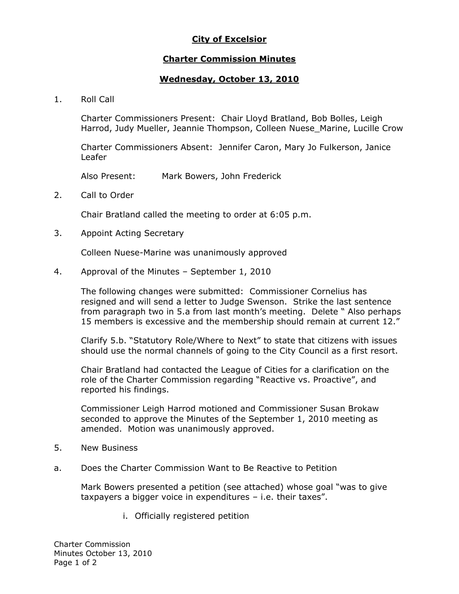# **City of Excelsior**

### **Charter Commission Minutes**

## **Wednesday, October 13, 2010**

1. Roll Call

Charter Commissioners Present: Chair Lloyd Bratland, Bob Bolles, Leigh Harrod, Judy Mueller, Jeannie Thompson, Colleen Nuese\_Marine, Lucille Crow

Charter Commissioners Absent: Jennifer Caron, Mary Jo Fulkerson, Janice Leafer

Also Present: Mark Bowers, John Frederick

2. Call to Order

Chair Bratland called the meeting to order at 6:05 p.m.

3. Appoint Acting Secretary

Colleen Nuese-Marine was unanimously approved

4. Approval of the Minutes – September 1, 2010

The following changes were submitted: Commissioner Cornelius has resigned and will send a letter to Judge Swenson. Strike the last sentence from paragraph two in 5.a from last month's meeting. Delete " Also perhaps 15 members is excessive and the membership should remain at current 12."

Clarify 5.b. "Statutory Role/Where to Next" to state that citizens with issues should use the normal channels of going to the City Council as a first resort.

Chair Bratland had contacted the League of Cities for a clarification on the role of the Charter Commission regarding "Reactive vs. Proactive", and reported his findings.

Commissioner Leigh Harrod motioned and Commissioner Susan Brokaw seconded to approve the Minutes of the September 1, 2010 meeting as amended. Motion was unanimously approved.

- 5. New Business
- a. Does the Charter Commission Want to Be Reactive to Petition

Mark Bowers presented a petition (see attached) whose goal "was to give taxpayers a bigger voice in expenditures – i.e. their taxes".

i. Officially registered petition